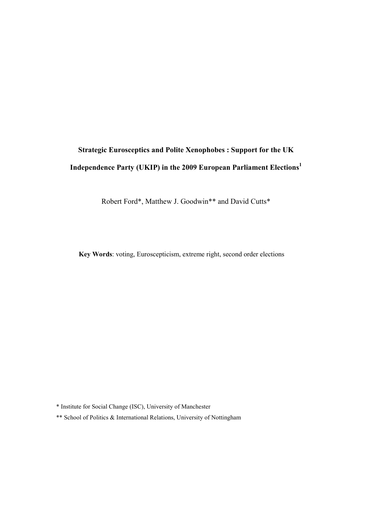# **Strategic Eurosceptics and Polite Xenophobes : Support for the UK Independence Party (UKIP) in the 2009 European Parliament Elections<sup>1</sup>**

Robert Ford\*, Matthew J. Goodwin\*\* and David Cutts\*

**Key Words**: voting, Euroscepticism, extreme right, second order elections

\* Institute for Social Change (ISC), University of Manchester

\*\* School of Politics & International Relations, University of Nottingham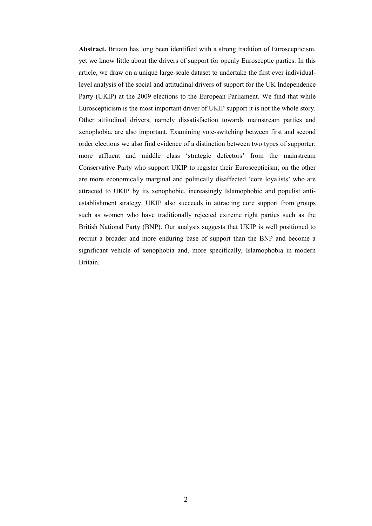**Abstract.** Britain has long been identified with a strong tradition of Euroscepticism, yet we know little about the drivers of support for openly Eurosceptic parties. In this article, we draw on a unique large-scale dataset to undertake the first ever individuallevel analysis of the social and attitudinal drivers of support for the UK Independence Party (UKIP) at the 2009 elections to the European Parliament. We find that while Euroscepticism is the most important driver of UKIP support it is not the whole story. Other attitudinal drivers, namely dissatisfaction towards mainstream parties and xenophobia, are also important. Examining vote-switching between first and second order elections we also find evidence of a distinction between two types of supporter: more affluent and middle class 'strategic defectors' from the mainstream Conservative Party who support UKIP to register their Euroscepticism; on the other are more economically marginal and politically disaffected 'core loyalists' who are attracted to UKIP by its xenophobic, increasingly Islamophobic and populist antiestablishment strategy. UKIP also succeeds in attracting core support from groups such as women who have traditionally rejected extreme right parties such as the British National Party (BNP). Our analysis suggests that UKIP is well positioned to recruit a broader and more enduring base of support than the BNP and become a significant vehicle of xenophobia and, more specifically, Islamophobia in modern Britain.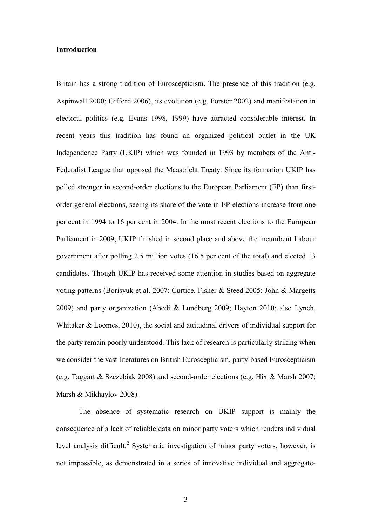#### **Introduction**

Britain has a strong tradition of Euroscepticism. The presence of this tradition (e.g. Aspinwall 2000; Gifford 2006), its evolution (e.g. Forster 2002) and manifestation in electoral politics (e.g. Evans 1998, 1999) have attracted considerable interest. In recent years this tradition has found an organized political outlet in the UK Independence Party (UKIP) which was founded in 1993 by members of the Anti-Federalist League that opposed the Maastricht Treaty. Since its formation UKIP has polled stronger in second-order elections to the European Parliament (EP) than firstorder general elections, seeing its share of the vote in EP elections increase from one per cent in 1994 to 16 per cent in 2004. In the most recent elections to the European Parliament in 2009, UKIP finished in second place and above the incumbent Labour government after polling 2.5 million votes (16.5 per cent of the total) and elected 13 candidates. Though UKIP has received some attention in studies based on aggregate voting patterns (Borisyuk et al. 2007; Curtice, Fisher & Steed 2005; John & Margetts 2009) and party organization (Abedi & Lundberg 2009; Hayton 2010; also Lynch, Whitaker & Loomes, 2010), the social and attitudinal drivers of individual support for the party remain poorly understood. This lack of research is particularly striking when we consider the vast literatures on British Euroscepticism, party-based Euroscepticism (e.g. Taggart & Szczebiak 2008) and second-order elections (e.g. Hix & Marsh 2007; Marsh & Mikhaylov 2008).

The absence of systematic research on UKIP support is mainly the consequence of a lack of reliable data on minor party voters which renders individual level analysis difficult.<sup>2</sup> Systematic investigation of minor party voters, however, is not impossible, as demonstrated in a series of innovative individual and aggregate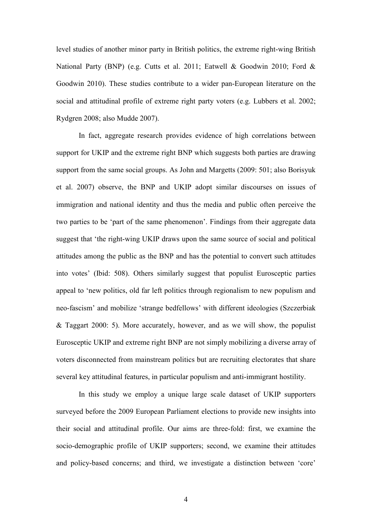level studies of another minor party in British politics, the extreme right-wing British National Party (BNP) (e.g. Cutts et al. 2011; Eatwell & Goodwin 2010; Ford & Goodwin 2010). These studies contribute to a wider pan-European literature on the social and attitudinal profile of extreme right party voters (e.g. Lubbers et al. 2002; Rydgren 2008; also Mudde 2007).

In fact, aggregate research provides evidence of high correlations between support for UKIP and the extreme right BNP which suggests both parties are drawing support from the same social groups. As John and Margetts (2009: 501; also Borisyuk et al. 2007) observe, the BNP and UKIP adopt similar discourses on issues of immigration and national identity and thus the media and public often perceive the two parties to be 'part of the same phenomenon'. Findings from their aggregate data suggest that 'the right-wing UKIP draws upon the same source of social and political attitudes among the public as the BNP and has the potential to convert such attitudes into votes' (Ibid: 508). Others similarly suggest that populist Eurosceptic parties appeal to 'new politics, old far left politics through regionalism to new populism and neo-fascism' and mobilize 'strange bedfellows' with different ideologies (Szczerbiak & Taggart 2000: 5). More accurately, however, and as we will show, the populist Eurosceptic UKIP and extreme right BNP are not simply mobilizing a diverse array of voters disconnected from mainstream politics but are recruiting electorates that share several key attitudinal features, in particular populism and anti-immigrant hostility.

In this study we employ a unique large scale dataset of UKIP supporters surveyed before the 2009 European Parliament elections to provide new insights into their social and attitudinal profile. Our aims are three-fold: first, we examine the socio-demographic profile of UKIP supporters; second, we examine their attitudes and policy-based concerns; and third, we investigate a distinction between 'core'

4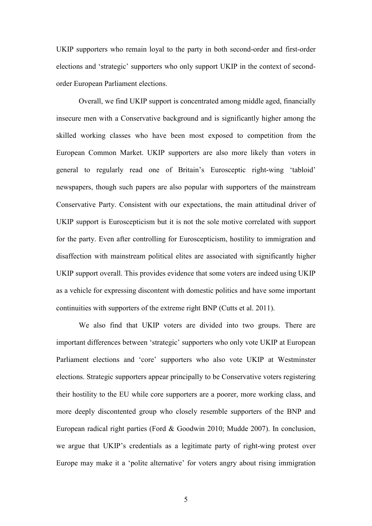UKIP supporters who remain loyal to the party in both second-order and first-order elections and 'strategic' supporters who only support UKIP in the context of secondorder European Parliament elections.

Overall, we find UKIP support is concentrated among middle aged, financially insecure men with a Conservative background and is significantly higher among the skilled working classes who have been most exposed to competition from the European Common Market. UKIP supporters are also more likely than voters in general to regularly read one of Britain's Eurosceptic right-wing 'tabloid' newspapers, though such papers are also popular with supporters of the mainstream Conservative Party. Consistent with our expectations, the main attitudinal driver of UKIP support is Euroscepticism but it is not the sole motive correlated with support for the party. Even after controlling for Euroscepticism, hostility to immigration and disaffection with mainstream political elites are associated with significantly higher UKIP support overall. This provides evidence that some voters are indeed using UKIP as a vehicle for expressing discontent with domestic politics and have some important continuities with supporters of the extreme right BNP (Cutts et al. 2011).

We also find that UKIP voters are divided into two groups. There are important differences between 'strategic' supporters who only vote UKIP at European Parliament elections and 'core' supporters who also vote UKIP at Westminster elections. Strategic supporters appear principally to be Conservative voters registering their hostility to the EU while core supporters are a poorer, more working class, and more deeply discontented group who closely resemble supporters of the BNP and European radical right parties (Ford & Goodwin 2010; Mudde 2007). In conclusion, we argue that UKIP's credentials as a legitimate party of right-wing protest over Europe may make it a 'polite alternative' for voters angry about rising immigration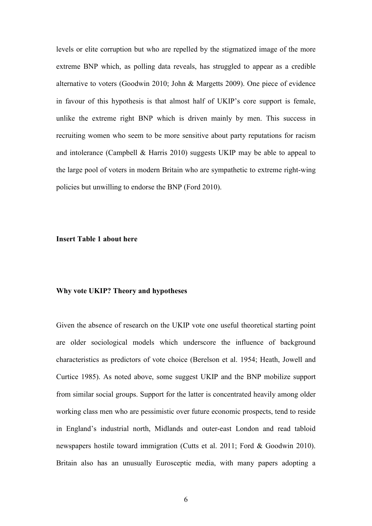levels or elite corruption but who are repelled by the stigmatized image of the more extreme BNP which, as polling data reveals, has struggled to appear as a credible alternative to voters (Goodwin 2010; John & Margetts 2009). One piece of evidence in favour of this hypothesis is that almost half of UKIP's core support is female, unlike the extreme right BNP which is driven mainly by men. This success in recruiting women who seem to be more sensitive about party reputations for racism and intolerance (Campbell & Harris 2010) suggests UKIP may be able to appeal to the large pool of voters in modern Britain who are sympathetic to extreme right-wing policies but unwilling to endorse the BNP (Ford 2010).

#### **Insert Table 1 about here**

## **Why vote UKIP? Theory and hypotheses**

Given the absence of research on the UKIP vote one useful theoretical starting point are older sociological models which underscore the influence of background characteristics as predictors of vote choice (Berelson et al. 1954; Heath, Jowell and Curtice 1985). As noted above, some suggest UKIP and the BNP mobilize support from similar social groups. Support for the latter is concentrated heavily among older working class men who are pessimistic over future economic prospects, tend to reside in England's industrial north, Midlands and outer-east London and read tabloid newspapers hostile toward immigration (Cutts et al. 2011; Ford & Goodwin 2010). Britain also has an unusually Eurosceptic media, with many papers adopting a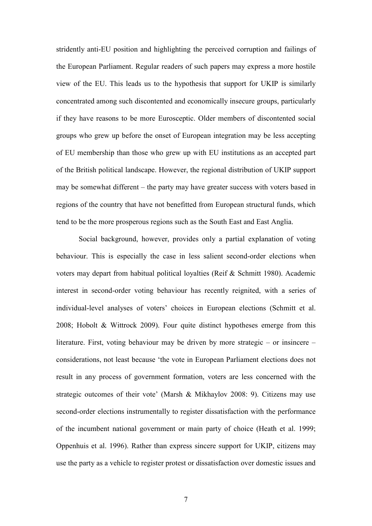stridently anti-EU position and highlighting the perceived corruption and failings of the European Parliament. Regular readers of such papers may express a more hostile view of the EU. This leads us to the hypothesis that support for UKIP is similarly concentrated among such discontented and economically insecure groups, particularly if they have reasons to be more Eurosceptic. Older members of discontented social groups who grew up before the onset of European integration may be less accepting of EU membership than those who grew up with EU institutions as an accepted part of the British political landscape. However, the regional distribution of UKIP support may be somewhat different – the party may have greater success with voters based in regions of the country that have not benefitted from European structural funds, which tend to be the more prosperous regions such as the South East and East Anglia.

 Social background, however, provides only a partial explanation of voting behaviour. This is especially the case in less salient second-order elections when voters may depart from habitual political loyalties (Reif & Schmitt 1980). Academic interest in second-order voting behaviour has recently reignited, with a series of individual-level analyses of voters' choices in European elections (Schmitt et al. 2008; Hobolt & Wittrock 2009). Four quite distinct hypotheses emerge from this literature. First, voting behaviour may be driven by more strategic – or insincere – considerations, not least because 'the vote in European Parliament elections does not result in any process of government formation, voters are less concerned with the strategic outcomes of their vote' (Marsh & Mikhaylov 2008: 9). Citizens may use second-order elections instrumentally to register dissatisfaction with the performance of the incumbent national government or main party of choice (Heath et al. 1999; Oppenhuis et al. 1996). Rather than express sincere support for UKIP, citizens may use the party as a vehicle to register protest or dissatisfaction over domestic issues and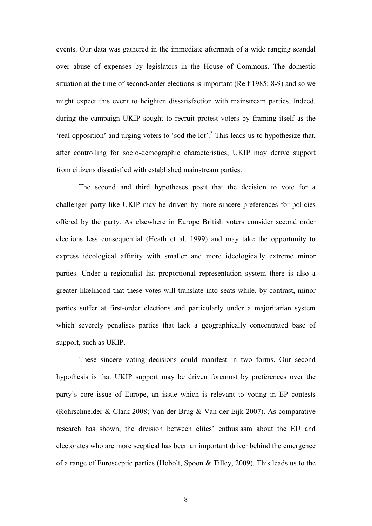events. Our data was gathered in the immediate aftermath of a wide ranging scandal over abuse of expenses by legislators in the House of Commons. The domestic situation at the time of second-order elections is important (Reif 1985: 8-9) and so we might expect this event to heighten dissatisfaction with mainstream parties. Indeed, during the campaign UKIP sought to recruit protest voters by framing itself as the 'real opposition' and urging voters to 'sod the lot'.<sup>3</sup> This leads us to hypothesize that, after controlling for socio-demographic characteristics, UKIP may derive support from citizens dissatisfied with established mainstream parties.

 The second and third hypotheses posit that the decision to vote for a challenger party like UKIP may be driven by more sincere preferences for policies offered by the party. As elsewhere in Europe British voters consider second order elections less consequential (Heath et al. 1999) and may take the opportunity to express ideological affinity with smaller and more ideologically extreme minor parties. Under a regionalist list proportional representation system there is also a greater likelihood that these votes will translate into seats while, by contrast, minor parties suffer at first-order elections and particularly under a majoritarian system which severely penalises parties that lack a geographically concentrated base of support, such as UKIP.

These sincere voting decisions could manifest in two forms. Our second hypothesis is that UKIP support may be driven foremost by preferences over the party's core issue of Europe, an issue which is relevant to voting in EP contests (Rohrschneider & Clark 2008; Van der Brug & Van der Eijk 2007). As comparative research has shown, the division between elites' enthusiasm about the EU and electorates who are more sceptical has been an important driver behind the emergence of a range of Eurosceptic parties (Hobolt, Spoon & Tilley, 2009). This leads us to the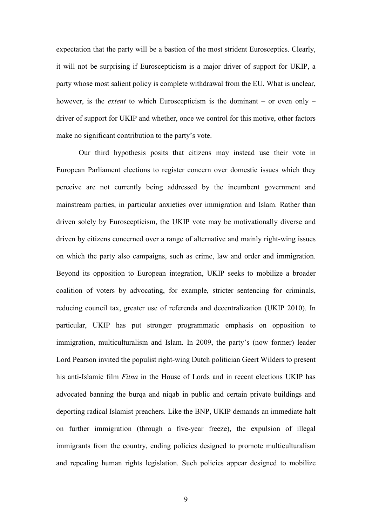expectation that the party will be a bastion of the most strident Eurosceptics. Clearly, it will not be surprising if Euroscepticism is a major driver of support for UKIP, a party whose most salient policy is complete withdrawal from the EU. What is unclear, however, is the *extent* to which Euroscepticism is the dominant – or even only – driver of support for UKIP and whether, once we control for this motive, other factors make no significant contribution to the party's vote.

 Our third hypothesis posits that citizens may instead use their vote in European Parliament elections to register concern over domestic issues which they perceive are not currently being addressed by the incumbent government and mainstream parties, in particular anxieties over immigration and Islam. Rather than driven solely by Euroscepticism, the UKIP vote may be motivationally diverse and driven by citizens concerned over a range of alternative and mainly right-wing issues on which the party also campaigns, such as crime, law and order and immigration. Beyond its opposition to European integration, UKIP seeks to mobilize a broader coalition of voters by advocating, for example, stricter sentencing for criminals, reducing council tax, greater use of referenda and decentralization (UKIP 2010). In particular, UKIP has put stronger programmatic emphasis on opposition to immigration, multiculturalism and Islam. In 2009, the party's (now former) leader Lord Pearson invited the populist right-wing Dutch politician Geert Wilders to present his anti-Islamic film *Fitna* in the House of Lords and in recent elections UKIP has advocated banning the burqa and niqab in public and certain private buildings and deporting radical Islamist preachers. Like the BNP, UKIP demands an immediate halt on further immigration (through a five-year freeze), the expulsion of illegal immigrants from the country, ending policies designed to promote multiculturalism and repealing human rights legislation. Such policies appear designed to mobilize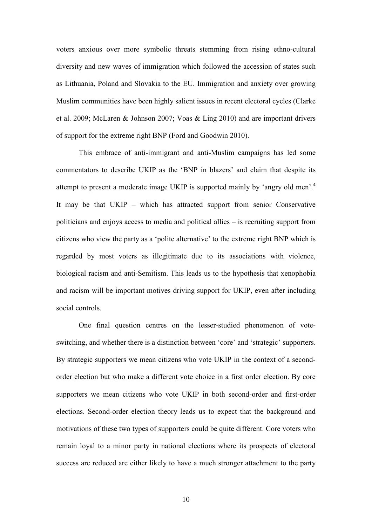voters anxious over more symbolic threats stemming from rising ethno-cultural diversity and new waves of immigration which followed the accession of states such as Lithuania, Poland and Slovakia to the EU. Immigration and anxiety over growing Muslim communities have been highly salient issues in recent electoral cycles (Clarke et al. 2009; McLaren & Johnson 2007; Voas & Ling 2010) and are important drivers of support for the extreme right BNP (Ford and Goodwin 2010).

This embrace of anti-immigrant and anti-Muslim campaigns has led some commentators to describe UKIP as the 'BNP in blazers' and claim that despite its attempt to present a moderate image UKIP is supported mainly by 'angry old men'.<sup>4</sup> It may be that UKIP – which has attracted support from senior Conservative politicians and enjoys access to media and political allies – is recruiting support from citizens who view the party as a 'polite alternative' to the extreme right BNP which is regarded by most voters as illegitimate due to its associations with violence, biological racism and anti-Semitism. This leads us to the hypothesis that xenophobia and racism will be important motives driving support for UKIP, even after including social controls.

 One final question centres on the lesser-studied phenomenon of voteswitching, and whether there is a distinction between 'core' and 'strategic' supporters. By strategic supporters we mean citizens who vote UKIP in the context of a secondorder election but who make a different vote choice in a first order election. By core supporters we mean citizens who vote UKIP in both second-order and first-order elections. Second-order election theory leads us to expect that the background and motivations of these two types of supporters could be quite different. Core voters who remain loyal to a minor party in national elections where its prospects of electoral success are reduced are either likely to have a much stronger attachment to the party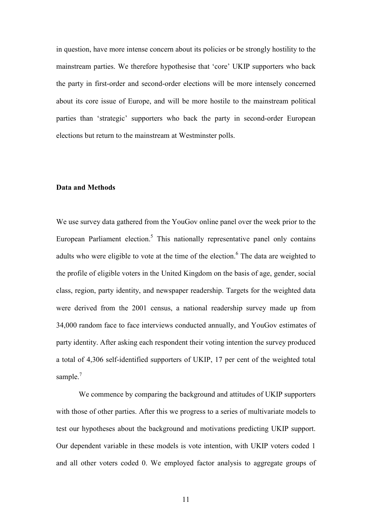in question, have more intense concern about its policies or be strongly hostility to the mainstream parties. We therefore hypothesise that 'core' UKIP supporters who back the party in first-order and second-order elections will be more intensely concerned about its core issue of Europe, and will be more hostile to the mainstream political parties than 'strategic' supporters who back the party in second-order European elections but return to the mainstream at Westminster polls.

#### **Data and Methods**

We use survey data gathered from the YouGov online panel over the week prior to the European Parliament election.<sup>5</sup> This nationally representative panel only contains adults who were eligible to vote at the time of the election.<sup>6</sup> The data are weighted to the profile of eligible voters in the United Kingdom on the basis of age, gender, social class, region, party identity, and newspaper readership. Targets for the weighted data were derived from the 2001 census, a national readership survey made up from 34,000 random face to face interviews conducted annually, and YouGov estimates of party identity. After asking each respondent their voting intention the survey produced a total of 4,306 self-identified supporters of UKIP, 17 per cent of the weighted total sample. $7$ 

We commence by comparing the background and attitudes of UKIP supporters with those of other parties. After this we progress to a series of multivariate models to test our hypotheses about the background and motivations predicting UKIP support. Our dependent variable in these models is vote intention, with UKIP voters coded 1 and all other voters coded 0. We employed factor analysis to aggregate groups of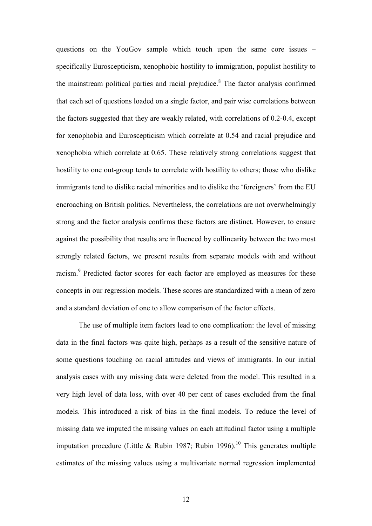questions on the YouGov sample which touch upon the same core issues – specifically Euroscepticism, xenophobic hostility to immigration, populist hostility to the mainstream political parties and racial prejudice.<sup>8</sup> The factor analysis confirmed that each set of questions loaded on a single factor, and pair wise correlations between the factors suggested that they are weakly related, with correlations of 0.2-0.4, except for xenophobia and Euroscepticism which correlate at 0.54 and racial prejudice and xenophobia which correlate at 0.65. These relatively strong correlations suggest that hostility to one out-group tends to correlate with hostility to others; those who dislike immigrants tend to dislike racial minorities and to dislike the 'foreigners' from the EU encroaching on British politics. Nevertheless, the correlations are not overwhelmingly strong and the factor analysis confirms these factors are distinct. However, to ensure against the possibility that results are influenced by collinearity between the two most strongly related factors, we present results from separate models with and without racism.<sup>9</sup> Predicted factor scores for each factor are employed as measures for these concepts in our regression models. These scores are standardized with a mean of zero and a standard deviation of one to allow comparison of the factor effects.

The use of multiple item factors lead to one complication: the level of missing data in the final factors was quite high, perhaps as a result of the sensitive nature of some questions touching on racial attitudes and views of immigrants. In our initial analysis cases with any missing data were deleted from the model. This resulted in a very high level of data loss, with over 40 per cent of cases excluded from the final models. This introduced a risk of bias in the final models. To reduce the level of missing data we imputed the missing values on each attitudinal factor using a multiple imputation procedure (Little & Rubin 1987; Rubin 1996).<sup>10</sup> This generates multiple estimates of the missing values using a multivariate normal regression implemented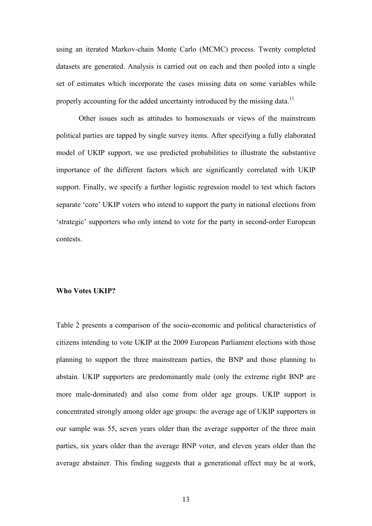using an iterated Markov-chain Monte Carlo (MCMC) process. Twenty completed datasets are generated. Analysis is carried out on each and then pooled into a single set of estimates which incorporate the cases missing data on some variables while properly accounting for the added uncertainty introduced by the missing data.<sup>11</sup>

Other issues such as attitudes to homosexuals or views of the mainstream political parties are tapped by single survey items. After specifying a fully elaborated model of UKIP support, we use predicted probabilities to illustrate the substantive importance of the different factors which are significantly correlated with UKIP support. Finally, we specify a further logistic regression model to test which factors separate 'core' UKIP voters who intend to support the party in national elections from 'strategic' supporters who only intend to vote for the party in second-order European contests.

#### **Who Votes UKIP?**

Table 2 presents a comparison of the socio-economic and political characteristics of citizens intending to vote UKIP at the 2009 European Parliament elections with those planning to support the three mainstream parties, the BNP and those planning to abstain. UKIP supporters are predominantly male (only the extreme right BNP are more male-dominated) and also come from older age groups. UKIP support is concentrated strongly among older age groups: the average age of UKIP supporters in our sample was 55, seven years older than the average supporter of the three main parties, six years older than the average BNP voter, and eleven years older than the average abstainer. This finding suggests that a generational effect may be at work,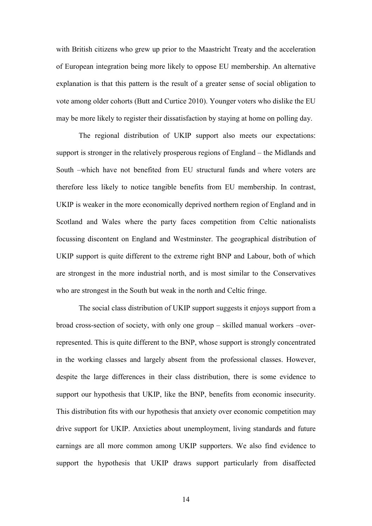with British citizens who grew up prior to the Maastricht Treaty and the acceleration of European integration being more likely to oppose EU membership. An alternative explanation is that this pattern is the result of a greater sense of social obligation to vote among older cohorts (Butt and Curtice 2010). Younger voters who dislike the EU may be more likely to register their dissatisfaction by staying at home on polling day.

The regional distribution of UKIP support also meets our expectations: support is stronger in the relatively prosperous regions of England – the Midlands and South –which have not benefited from EU structural funds and where voters are therefore less likely to notice tangible benefits from EU membership. In contrast, UKIP is weaker in the more economically deprived northern region of England and in Scotland and Wales where the party faces competition from Celtic nationalists focussing discontent on England and Westminster. The geographical distribution of UKIP support is quite different to the extreme right BNP and Labour, both of which are strongest in the more industrial north, and is most similar to the Conservatives who are strongest in the South but weak in the north and Celtic fringe.

The social class distribution of UKIP support suggests it enjoys support from a broad cross-section of society, with only one group – skilled manual workers –overrepresented. This is quite different to the BNP, whose support is strongly concentrated in the working classes and largely absent from the professional classes. However, despite the large differences in their class distribution, there is some evidence to support our hypothesis that UKIP, like the BNP, benefits from economic insecurity. This distribution fits with our hypothesis that anxiety over economic competition may drive support for UKIP. Anxieties about unemployment, living standards and future earnings are all more common among UKIP supporters. We also find evidence to support the hypothesis that UKIP draws support particularly from disaffected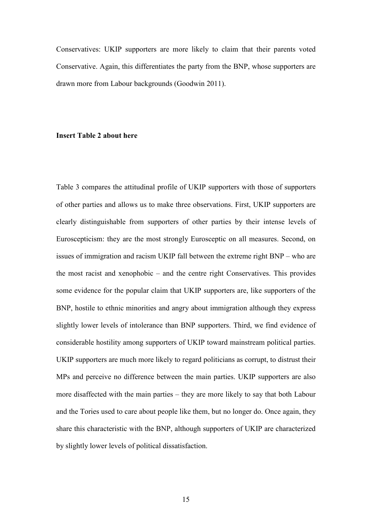Conservatives: UKIP supporters are more likely to claim that their parents voted Conservative. Again, this differentiates the party from the BNP, whose supporters are drawn more from Labour backgrounds (Goodwin 2011).

#### **Insert Table 2 about here**

Table 3 compares the attitudinal profile of UKIP supporters with those of supporters of other parties and allows us to make three observations. First, UKIP supporters are clearly distinguishable from supporters of other parties by their intense levels of Euroscepticism: they are the most strongly Eurosceptic on all measures. Second, on issues of immigration and racism UKIP fall between the extreme right BNP – who are the most racist and xenophobic – and the centre right Conservatives. This provides some evidence for the popular claim that UKIP supporters are, like supporters of the BNP, hostile to ethnic minorities and angry about immigration although they express slightly lower levels of intolerance than BNP supporters. Third, we find evidence of considerable hostility among supporters of UKIP toward mainstream political parties. UKIP supporters are much more likely to regard politicians as corrupt, to distrust their MPs and perceive no difference between the main parties. UKIP supporters are also more disaffected with the main parties – they are more likely to say that both Labour and the Tories used to care about people like them, but no longer do. Once again, they share this characteristic with the BNP, although supporters of UKIP are characterized by slightly lower levels of political dissatisfaction.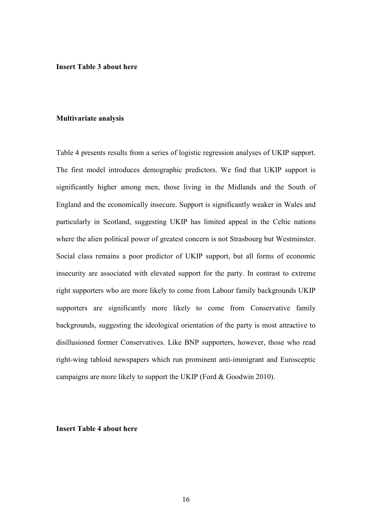**Insert Table 3 about here** 

#### **Multivariate analysis**

Table 4 presents results from a series of logistic regression analyses of UKIP support. The first model introduces demographic predictors. We find that UKIP support is significantly higher among men, those living in the Midlands and the South of England and the economically insecure. Support is significantly weaker in Wales and particularly in Scotland, suggesting UKIP has limited appeal in the Celtic nations where the alien political power of greatest concern is not Strasbourg but Westminster. Social class remains a poor predictor of UKIP support, but all forms of economic insecurity are associated with elevated support for the party. In contrast to extreme right supporters who are more likely to come from Labour family backgrounds UKIP supporters are significantly more likely to come from Conservative family backgrounds, suggesting the ideological orientation of the party is most attractive to disillusioned former Conservatives. Like BNP supporters, however, those who read right-wing tabloid newspapers which run prominent anti-immigrant and Eurosceptic campaigns are more likely to support the UKIP (Ford & Goodwin 2010).

#### **Insert Table 4 about here**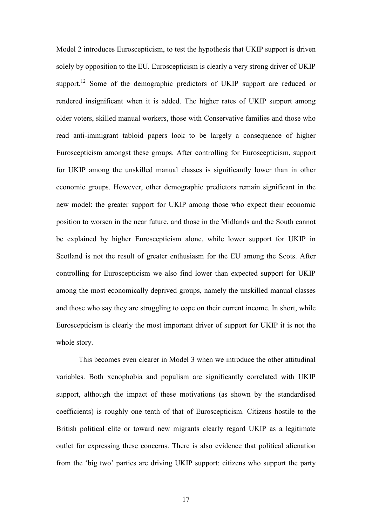Model 2 introduces Euroscepticism, to test the hypothesis that UKIP support is driven solely by opposition to the EU. Euroscepticism is clearly a very strong driver of UKIP support.<sup>12</sup> Some of the demographic predictors of UKIP support are reduced or rendered insignificant when it is added. The higher rates of UKIP support among older voters, skilled manual workers, those with Conservative families and those who read anti-immigrant tabloid papers look to be largely a consequence of higher Euroscepticism amongst these groups. After controlling for Euroscepticism, support for UKIP among the unskilled manual classes is significantly lower than in other economic groups. However, other demographic predictors remain significant in the new model: the greater support for UKIP among those who expect their economic position to worsen in the near future. and those in the Midlands and the South cannot be explained by higher Euroscepticism alone, while lower support for UKIP in Scotland is not the result of greater enthusiasm for the EU among the Scots. After controlling for Euroscepticism we also find lower than expected support for UKIP among the most economically deprived groups, namely the unskilled manual classes and those who say they are struggling to cope on their current income. In short, while Euroscepticism is clearly the most important driver of support for UKIP it is not the whole story.

This becomes even clearer in Model 3 when we introduce the other attitudinal variables. Both xenophobia and populism are significantly correlated with UKIP support, although the impact of these motivations (as shown by the standardised coefficients) is roughly one tenth of that of Euroscepticism. Citizens hostile to the British political elite or toward new migrants clearly regard UKIP as a legitimate outlet for expressing these concerns. There is also evidence that political alienation from the 'big two' parties are driving UKIP support: citizens who support the party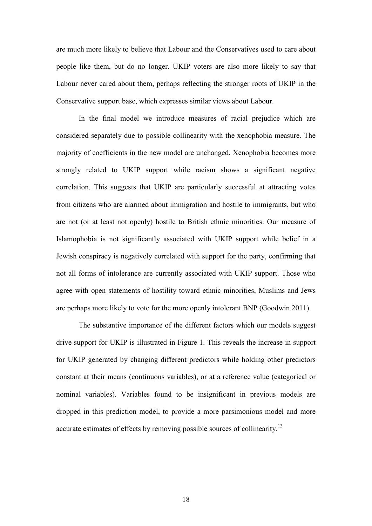are much more likely to believe that Labour and the Conservatives used to care about people like them, but do no longer. UKIP voters are also more likely to say that Labour never cared about them, perhaps reflecting the stronger roots of UKIP in the Conservative support base, which expresses similar views about Labour.

In the final model we introduce measures of racial prejudice which are considered separately due to possible collinearity with the xenophobia measure. The majority of coefficients in the new model are unchanged. Xenophobia becomes more strongly related to UKIP support while racism shows a significant negative correlation. This suggests that UKIP are particularly successful at attracting votes from citizens who are alarmed about immigration and hostile to immigrants, but who are not (or at least not openly) hostile to British ethnic minorities. Our measure of Islamophobia is not significantly associated with UKIP support while belief in a Jewish conspiracy is negatively correlated with support for the party, confirming that not all forms of intolerance are currently associated with UKIP support. Those who agree with open statements of hostility toward ethnic minorities, Muslims and Jews are perhaps more likely to vote for the more openly intolerant BNP (Goodwin 2011).

The substantive importance of the different factors which our models suggest drive support for UKIP is illustrated in Figure 1. This reveals the increase in support for UKIP generated by changing different predictors while holding other predictors constant at their means (continuous variables), or at a reference value (categorical or nominal variables). Variables found to be insignificant in previous models are dropped in this prediction model, to provide a more parsimonious model and more accurate estimates of effects by removing possible sources of collinearity.<sup>13</sup>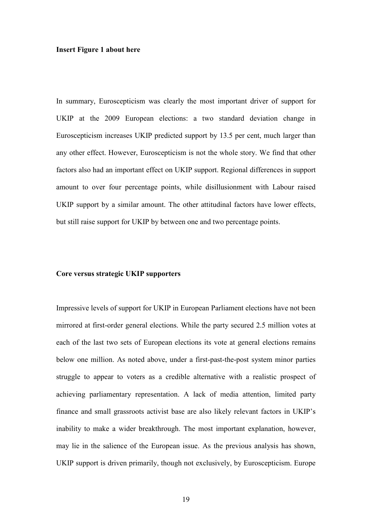#### **Insert Figure 1 about here**

In summary, Euroscepticism was clearly the most important driver of support for UKIP at the 2009 European elections: a two standard deviation change in Euroscepticism increases UKIP predicted support by 13.5 per cent, much larger than any other effect. However, Euroscepticism is not the whole story. We find that other factors also had an important effect on UKIP support. Regional differences in support amount to over four percentage points, while disillusionment with Labour raised UKIP support by a similar amount. The other attitudinal factors have lower effects, but still raise support for UKIP by between one and two percentage points.

#### **Core versus strategic UKIP supporters**

Impressive levels of support for UKIP in European Parliament elections have not been mirrored at first-order general elections. While the party secured 2.5 million votes at each of the last two sets of European elections its vote at general elections remains below one million. As noted above, under a first-past-the-post system minor parties struggle to appear to voters as a credible alternative with a realistic prospect of achieving parliamentary representation. A lack of media attention, limited party finance and small grassroots activist base are also likely relevant factors in UKIP's inability to make a wider breakthrough. The most important explanation, however, may lie in the salience of the European issue. As the previous analysis has shown, UKIP support is driven primarily, though not exclusively, by Euroscepticism. Europe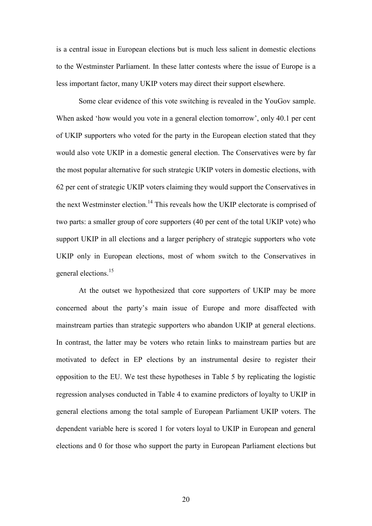is a central issue in European elections but is much less salient in domestic elections to the Westminster Parliament. In these latter contests where the issue of Europe is a less important factor, many UKIP voters may direct their support elsewhere.

Some clear evidence of this vote switching is revealed in the YouGov sample. When asked 'how would you vote in a general election tomorrow', only 40.1 per cent of UKIP supporters who voted for the party in the European election stated that they would also vote UKIP in a domestic general election. The Conservatives were by far the most popular alternative for such strategic UKIP voters in domestic elections, with 62 per cent of strategic UKIP voters claiming they would support the Conservatives in the next Westminster election.<sup>14</sup> This reveals how the UKIP electorate is comprised of two parts: a smaller group of core supporters (40 per cent of the total UKIP vote) who support UKIP in all elections and a larger periphery of strategic supporters who vote UKIP only in European elections, most of whom switch to the Conservatives in general elections.<sup>15</sup>

 At the outset we hypothesized that core supporters of UKIP may be more concerned about the party's main issue of Europe and more disaffected with mainstream parties than strategic supporters who abandon UKIP at general elections. In contrast, the latter may be voters who retain links to mainstream parties but are motivated to defect in EP elections by an instrumental desire to register their opposition to the EU. We test these hypotheses in Table 5 by replicating the logistic regression analyses conducted in Table 4 to examine predictors of loyalty to UKIP in general elections among the total sample of European Parliament UKIP voters. The dependent variable here is scored 1 for voters loyal to UKIP in European and general elections and 0 for those who support the party in European Parliament elections but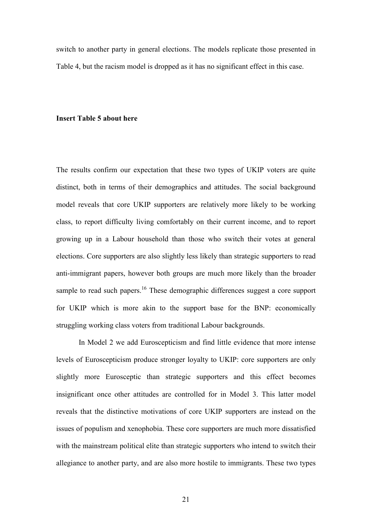switch to another party in general elections. The models replicate those presented in Table 4, but the racism model is dropped as it has no significant effect in this case.

#### **Insert Table 5 about here**

The results confirm our expectation that these two types of UKIP voters are quite distinct, both in terms of their demographics and attitudes. The social background model reveals that core UKIP supporters are relatively more likely to be working class, to report difficulty living comfortably on their current income, and to report growing up in a Labour household than those who switch their votes at general elections. Core supporters are also slightly less likely than strategic supporters to read anti-immigrant papers, however both groups are much more likely than the broader sample to read such papers.<sup>16</sup> These demographic differences suggest a core support for UKIP which is more akin to the support base for the BNP: economically struggling working class voters from traditional Labour backgrounds.

In Model 2 we add Euroscepticism and find little evidence that more intense levels of Euroscepticism produce stronger loyalty to UKIP: core supporters are only slightly more Eurosceptic than strategic supporters and this effect becomes insignificant once other attitudes are controlled for in Model 3. This latter model reveals that the distinctive motivations of core UKIP supporters are instead on the issues of populism and xenophobia. These core supporters are much more dissatisfied with the mainstream political elite than strategic supporters who intend to switch their allegiance to another party, and are also more hostile to immigrants. These two types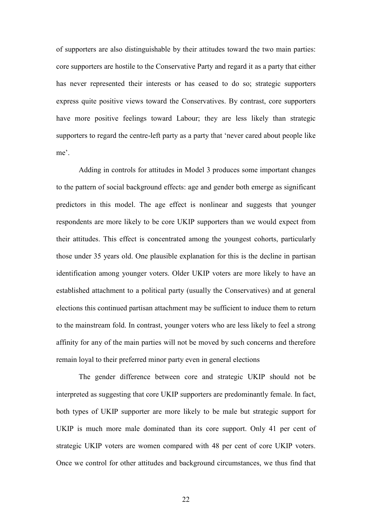of supporters are also distinguishable by their attitudes toward the two main parties: core supporters are hostile to the Conservative Party and regard it as a party that either has never represented their interests or has ceased to do so; strategic supporters express quite positive views toward the Conservatives. By contrast, core supporters have more positive feelings toward Labour; they are less likely than strategic supporters to regard the centre-left party as a party that 'never cared about people like me'.

Adding in controls for attitudes in Model 3 produces some important changes to the pattern of social background effects: age and gender both emerge as significant predictors in this model. The age effect is nonlinear and suggests that younger respondents are more likely to be core UKIP supporters than we would expect from their attitudes. This effect is concentrated among the youngest cohorts, particularly those under 35 years old. One plausible explanation for this is the decline in partisan identification among younger voters. Older UKIP voters are more likely to have an established attachment to a political party (usually the Conservatives) and at general elections this continued partisan attachment may be sufficient to induce them to return to the mainstream fold. In contrast, younger voters who are less likely to feel a strong affinity for any of the main parties will not be moved by such concerns and therefore remain loyal to their preferred minor party even in general elections

The gender difference between core and strategic UKIP should not be interpreted as suggesting that core UKIP supporters are predominantly female. In fact, both types of UKIP supporter are more likely to be male but strategic support for UKIP is much more male dominated than its core support. Only 41 per cent of strategic UKIP voters are women compared with 48 per cent of core UKIP voters. Once we control for other attitudes and background circumstances, we thus find that

22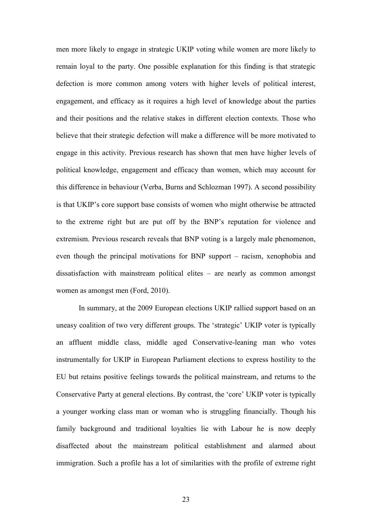men more likely to engage in strategic UKIP voting while women are more likely to remain loyal to the party. One possible explanation for this finding is that strategic defection is more common among voters with higher levels of political interest, engagement, and efficacy as it requires a high level of knowledge about the parties and their positions and the relative stakes in different election contexts. Those who believe that their strategic defection will make a difference will be more motivated to engage in this activity. Previous research has shown that men have higher levels of political knowledge, engagement and efficacy than women, which may account for this difference in behaviour (Verba, Burns and Schlozman 1997). A second possibility is that UKIP's core support base consists of women who might otherwise be attracted to the extreme right but are put off by the BNP's reputation for violence and extremism. Previous research reveals that BNP voting is a largely male phenomenon, even though the principal motivations for BNP support – racism, xenophobia and dissatisfaction with mainstream political elites – are nearly as common amongst women as amongst men (Ford, 2010).

In summary, at the 2009 European elections UKIP rallied support based on an uneasy coalition of two very different groups. The 'strategic' UKIP voter is typically an affluent middle class, middle aged Conservative-leaning man who votes instrumentally for UKIP in European Parliament elections to express hostility to the EU but retains positive feelings towards the political mainstream, and returns to the Conservative Party at general elections. By contrast, the 'core' UKIP voter is typically a younger working class man or woman who is struggling financially. Though his family background and traditional loyalties lie with Labour he is now deeply disaffected about the mainstream political establishment and alarmed about immigration. Such a profile has a lot of similarities with the profile of extreme right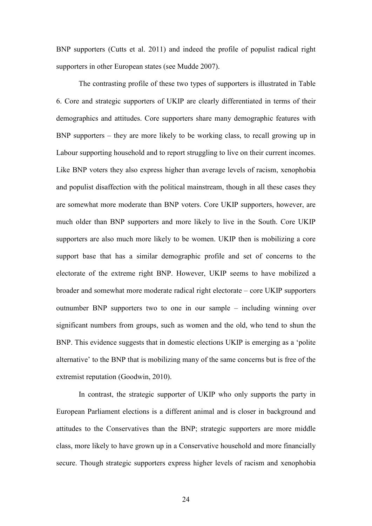BNP supporters (Cutts et al. 2011) and indeed the profile of populist radical right supporters in other European states (see Mudde 2007).

The contrasting profile of these two types of supporters is illustrated in Table 6. Core and strategic supporters of UKIP are clearly differentiated in terms of their demographics and attitudes. Core supporters share many demographic features with BNP supporters – they are more likely to be working class, to recall growing up in Labour supporting household and to report struggling to live on their current incomes. Like BNP voters they also express higher than average levels of racism, xenophobia and populist disaffection with the political mainstream, though in all these cases they are somewhat more moderate than BNP voters. Core UKIP supporters, however, are much older than BNP supporters and more likely to live in the South. Core UKIP supporters are also much more likely to be women. UKIP then is mobilizing a core support base that has a similar demographic profile and set of concerns to the electorate of the extreme right BNP. However, UKIP seems to have mobilized a broader and somewhat more moderate radical right electorate – core UKIP supporters outnumber BNP supporters two to one in our sample – including winning over significant numbers from groups, such as women and the old, who tend to shun the BNP. This evidence suggests that in domestic elections UKIP is emerging as a 'polite alternative' to the BNP that is mobilizing many of the same concerns but is free of the extremist reputation (Goodwin, 2010).

In contrast, the strategic supporter of UKIP who only supports the party in European Parliament elections is a different animal and is closer in background and attitudes to the Conservatives than the BNP; strategic supporters are more middle class, more likely to have grown up in a Conservative household and more financially secure. Though strategic supporters express higher levels of racism and xenophobia

24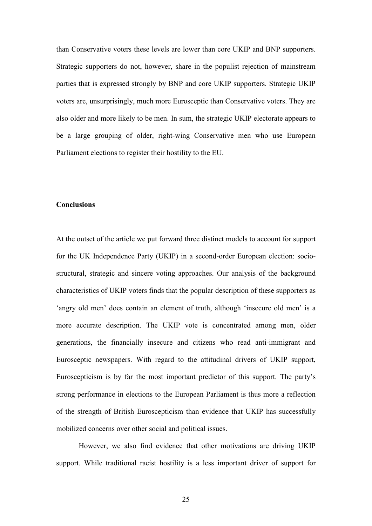than Conservative voters these levels are lower than core UKIP and BNP supporters. Strategic supporters do not, however, share in the populist rejection of mainstream parties that is expressed strongly by BNP and core UKIP supporters. Strategic UKIP voters are, unsurprisingly, much more Eurosceptic than Conservative voters. They are also older and more likely to be men. In sum, the strategic UKIP electorate appears to be a large grouping of older, right-wing Conservative men who use European Parliament elections to register their hostility to the EU.

#### **Conclusions**

At the outset of the article we put forward three distinct models to account for support for the UK Independence Party (UKIP) in a second-order European election: sociostructural, strategic and sincere voting approaches. Our analysis of the background characteristics of UKIP voters finds that the popular description of these supporters as 'angry old men' does contain an element of truth, although 'insecure old men' is a more accurate description. The UKIP vote is concentrated among men, older generations, the financially insecure and citizens who read anti-immigrant and Eurosceptic newspapers. With regard to the attitudinal drivers of UKIP support, Euroscepticism is by far the most important predictor of this support. The party's strong performance in elections to the European Parliament is thus more a reflection of the strength of British Euroscepticism than evidence that UKIP has successfully mobilized concerns over other social and political issues.

However, we also find evidence that other motivations are driving UKIP support. While traditional racist hostility is a less important driver of support for

25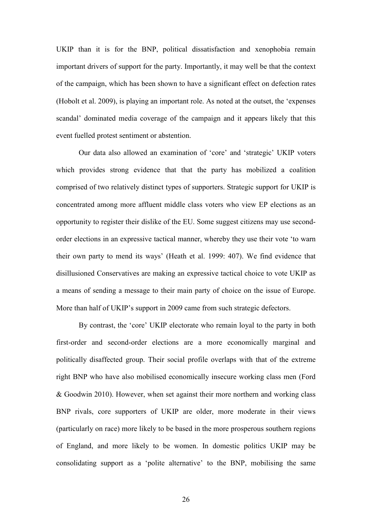UKIP than it is for the BNP, political dissatisfaction and xenophobia remain important drivers of support for the party. Importantly, it may well be that the context of the campaign, which has been shown to have a significant effect on defection rates (Hobolt et al. 2009), is playing an important role. As noted at the outset, the 'expenses scandal' dominated media coverage of the campaign and it appears likely that this event fuelled protest sentiment or abstention.

 Our data also allowed an examination of 'core' and 'strategic' UKIP voters which provides strong evidence that that the party has mobilized a coalition comprised of two relatively distinct types of supporters. Strategic support for UKIP is concentrated among more affluent middle class voters who view EP elections as an opportunity to register their dislike of the EU. Some suggest citizens may use secondorder elections in an expressive tactical manner, whereby they use their vote 'to warn their own party to mend its ways' (Heath et al. 1999: 407). We find evidence that disillusioned Conservatives are making an expressive tactical choice to vote UKIP as a means of sending a message to their main party of choice on the issue of Europe. More than half of UKIP's support in 2009 came from such strategic defectors.

By contrast, the 'core' UKIP electorate who remain loyal to the party in both first-order and second-order elections are a more economically marginal and politically disaffected group. Their social profile overlaps with that of the extreme right BNP who have also mobilised economically insecure working class men (Ford & Goodwin 2010). However, when set against their more northern and working class BNP rivals, core supporters of UKIP are older, more moderate in their views (particularly on race) more likely to be based in the more prosperous southern regions of England, and more likely to be women. In domestic politics UKIP may be consolidating support as a 'polite alternative' to the BNP, mobilising the same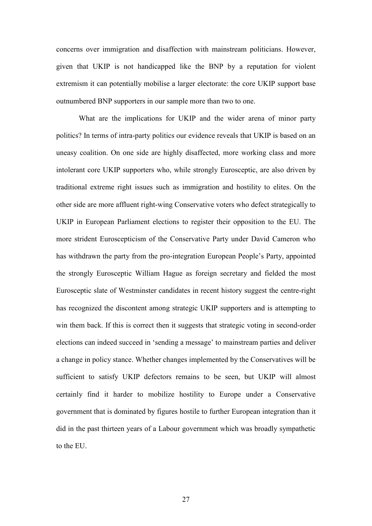concerns over immigration and disaffection with mainstream politicians. However, given that UKIP is not handicapped like the BNP by a reputation for violent extremism it can potentially mobilise a larger electorate: the core UKIP support base outnumbered BNP supporters in our sample more than two to one.

 What are the implications for UKIP and the wider arena of minor party politics? In terms of intra-party politics our evidence reveals that UKIP is based on an uneasy coalition. On one side are highly disaffected, more working class and more intolerant core UKIP supporters who, while strongly Eurosceptic, are also driven by traditional extreme right issues such as immigration and hostility to elites. On the other side are more affluent right-wing Conservative voters who defect strategically to UKIP in European Parliament elections to register their opposition to the EU. The more strident Euroscepticism of the Conservative Party under David Cameron who has withdrawn the party from the pro-integration European People's Party, appointed the strongly Eurosceptic William Hague as foreign secretary and fielded the most Eurosceptic slate of Westminster candidates in recent history suggest the centre-right has recognized the discontent among strategic UKIP supporters and is attempting to win them back. If this is correct then it suggests that strategic voting in second-order elections can indeed succeed in 'sending a message' to mainstream parties and deliver a change in policy stance. Whether changes implemented by the Conservatives will be sufficient to satisfy UKIP defectors remains to be seen, but UKIP will almost certainly find it harder to mobilize hostility to Europe under a Conservative government that is dominated by figures hostile to further European integration than it did in the past thirteen years of a Labour government which was broadly sympathetic to the EU.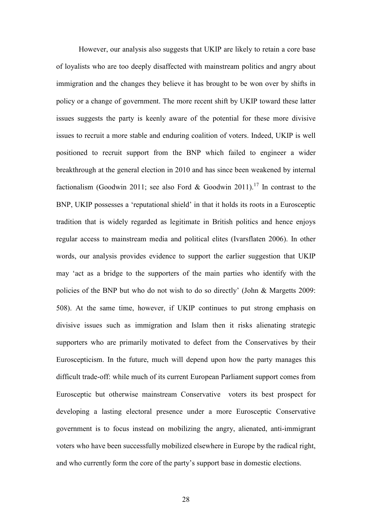However, our analysis also suggests that UKIP are likely to retain a core base of loyalists who are too deeply disaffected with mainstream politics and angry about immigration and the changes they believe it has brought to be won over by shifts in policy or a change of government. The more recent shift by UKIP toward these latter issues suggests the party is keenly aware of the potential for these more divisive issues to recruit a more stable and enduring coalition of voters. Indeed, UKIP is well positioned to recruit support from the BNP which failed to engineer a wider breakthrough at the general election in 2010 and has since been weakened by internal factionalism (Goodwin 2011; see also Ford & Goodwin 2011).<sup>17</sup> In contrast to the BNP, UKIP possesses a 'reputational shield' in that it holds its roots in a Eurosceptic tradition that is widely regarded as legitimate in British politics and hence enjoys regular access to mainstream media and political elites (Ivarsflaten 2006). In other words, our analysis provides evidence to support the earlier suggestion that UKIP may 'act as a bridge to the supporters of the main parties who identify with the policies of the BNP but who do not wish to do so directly' (John & Margetts 2009: 508). At the same time, however, if UKIP continues to put strong emphasis on divisive issues such as immigration and Islam then it risks alienating strategic supporters who are primarily motivated to defect from the Conservatives by their Euroscepticism. In the future, much will depend upon how the party manages this difficult trade-off: while much of its current European Parliament support comes from Eurosceptic but otherwise mainstream Conservative voters its best prospect for developing a lasting electoral presence under a more Eurosceptic Conservative government is to focus instead on mobilizing the angry, alienated, anti-immigrant voters who have been successfully mobilized elsewhere in Europe by the radical right, and who currently form the core of the party's support base in domestic elections.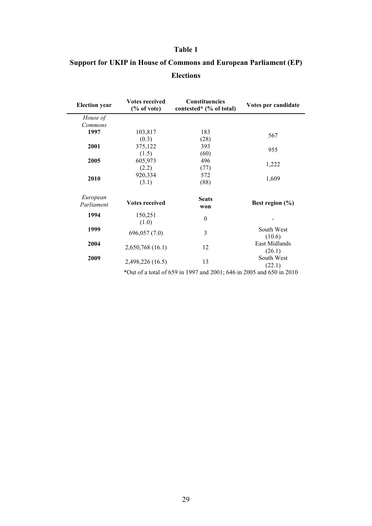# **Support for UKIP in House of Commons and European Parliament (EP) Elections**

| <b>Election</b> year   | <b>Votes received</b><br>Constituencies<br>contested* (% of total)<br>% of vote) |                     | Votes per candidate     |  |  |  |
|------------------------|----------------------------------------------------------------------------------|---------------------|-------------------------|--|--|--|
| House of               |                                                                                  |                     |                         |  |  |  |
| Commons                |                                                                                  |                     |                         |  |  |  |
| 1997                   | 103,817                                                                          | 183                 |                         |  |  |  |
|                        | (0.3)                                                                            | (28)                | 567                     |  |  |  |
| 2001                   | 375,122                                                                          | 393                 |                         |  |  |  |
|                        | (1.5)                                                                            | (60)                | 955                     |  |  |  |
| 2005                   | 605,973                                                                          | 496                 |                         |  |  |  |
|                        | (2.2)                                                                            | (77)                | 1,222                   |  |  |  |
|                        | 920,334                                                                          | 572                 |                         |  |  |  |
| 2010                   | (3.1)                                                                            | (88)                | 1,609                   |  |  |  |
| European<br>Parliament | <b>Votes received</b>                                                            | <b>Seats</b><br>won | Best region $(\% )$     |  |  |  |
| 1994                   | 150,251<br>(1.0)                                                                 | $\boldsymbol{0}$    |                         |  |  |  |
| 1999                   | 696,057 (7.0)                                                                    | 3                   | South West<br>(10.6)    |  |  |  |
| 2004                   | 2,650,768 (16.1)                                                                 | 12                  | East Midlands<br>(26.1) |  |  |  |
| 2009                   | 2,498,226 (16.5)                                                                 | 13                  | South West<br>(22.1)    |  |  |  |
|                        | *Out of a total of 659 in 1997 and 2001; 646 in 2005 and 650 in 2010             |                     |                         |  |  |  |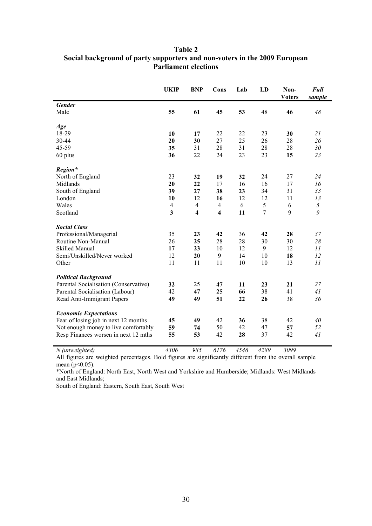# **Table 2 Social background of party supporters and non-voters in the 2009 European Parliament elections**

|                                       | <b>UKIP</b>             | <b>BNP</b>              | Cons                    | Lab  | LD             | Non-<br><b>Voters</b> | <b>Full</b><br>sample |
|---------------------------------------|-------------------------|-------------------------|-------------------------|------|----------------|-----------------------|-----------------------|
| <b>Gender</b>                         |                         |                         |                         |      |                |                       |                       |
| Male                                  | 55                      | 61                      | 45                      | 53   | 48             | 46                    | 48                    |
| Age                                   |                         |                         |                         |      |                |                       |                       |
| 18-29                                 | 10                      | 17                      | 22                      | 22   | 23             | 30                    | 21                    |
| 30-44                                 | 20                      | 30                      | 27                      | 25   | 26             | 28                    | 26                    |
| 45-59                                 | 35                      | 31                      | 28                      | 31   | 28             | 28                    | 30                    |
| 60 plus                               | 36                      | 22                      | 24                      | 23   | 23             | 15                    | 23                    |
| Region*                               |                         |                         |                         |      |                |                       |                       |
| North of England                      | 23                      | 32                      | 19                      | 32   | 24             | 27                    | 24                    |
| Midlands                              | 20                      | 22                      | 17                      | 16   | 16             | 17                    | 16                    |
| South of England                      | 39                      | 27                      | 38                      | 23   | 34             | 31                    | 33                    |
| London                                | 10                      | 12                      | 16                      | 12   | 12             | 11                    | 13                    |
| Wales                                 | $\overline{4}$          | $\overline{4}$          | $\overline{4}$          | 6    | 5              | 6                     | 5                     |
| Scotland                              | $\overline{\mathbf{3}}$ | $\overline{\mathbf{4}}$ | $\overline{\mathbf{4}}$ | 11   | $\overline{7}$ | 9                     | 9                     |
| <b>Social Class</b>                   |                         |                         |                         |      |                |                       |                       |
| Professional/Managerial               | 35                      | 23                      | 42                      | 36   | 42             | 28                    | 37                    |
| Routine Non-Manual                    | 26                      | 25                      | 28                      | 28   | 30             | 30                    | 28                    |
| Skilled Manual                        | 17                      | 23                      | 10                      | 12   | 9              | 12                    | II                    |
| Semi/Unskilled/Never worked           | 12                      | 20                      | 9                       | 14   | 10             | 18                    | 12                    |
| Other                                 | 11                      | 11                      | 11                      | 10   | 10             | 13                    | 11                    |
| <b>Political Background</b>           |                         |                         |                         |      |                |                       |                       |
| Parental Socialisation (Conservative) | 32                      | 25                      | 47                      | 11   | 23             | 21                    | 27                    |
| Parental Socialisation (Labour)       | 42                      | 47                      | 25                      | 66   | 38             | 41                    | 41                    |
| Read Anti-Immigrant Papers            | 49                      | 49                      | 51                      | 22   | 26             | 38                    | 36                    |
| <b>Economic Expectations</b>          |                         |                         |                         |      |                |                       |                       |
| Fear of losing job in next 12 months  | 45                      | 49                      | 42                      | 36   | 38             | 42                    | 40                    |
| Not enough money to live comfortably  | 59                      | 74                      | 50                      | 42   | 47             | 57                    | 52                    |
| Resp Finances worsen in next 12 mths  | 55                      | 53                      | 42                      | 28   | 37             | 42                    | 41                    |
| $N$ (unweighted)                      | 4306                    | 985                     | 6176                    | 4546 | 4289           | 3099                  |                       |

All figures are weighted percentages. Bold figures are significantly different from the overall sample mean ( $p<0.05$ ).

\*North of England: North East, North West and Yorkshire and Humberside; Midlands: West Midlands and East Midlands;

South of England: Eastern, South East, South West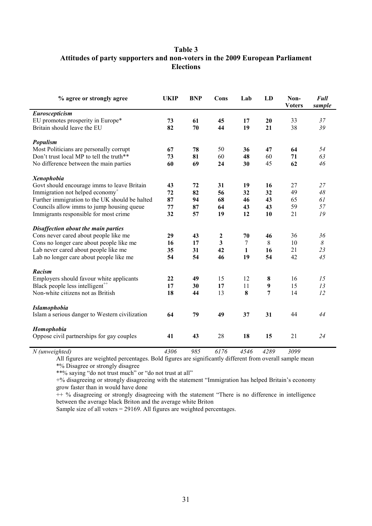# **Table 3 Attitudes of party supporters and non-voters in the 2009 European Parliament Elections**

| Euroscepticism<br>EU promotes prosperity in Europe*<br>73<br>61<br>45<br>17<br>20<br>33<br>37<br>Britain should leave the EU<br>70<br>19<br>38<br>39<br>82<br>44<br>21 |  |
|------------------------------------------------------------------------------------------------------------------------------------------------------------------------|--|
|                                                                                                                                                                        |  |
|                                                                                                                                                                        |  |
|                                                                                                                                                                        |  |
| Populism                                                                                                                                                               |  |
| Most Politicians are personally corrupt<br>50<br>67<br>78<br>36<br>47<br>64<br>54                                                                                      |  |
| Don't trust local MP to tell the truth**<br>60<br>60<br>63<br>73<br>81<br>48<br>71                                                                                     |  |
| 46<br>No difference between the main parties<br>60<br>69<br>30<br>45<br>62<br>24                                                                                       |  |
| <b>Xenophobia</b>                                                                                                                                                      |  |
| Govt should encourage imms to leave Britain<br>27<br>27<br>72<br>43<br>31<br>19<br>16                                                                                  |  |
| Immigration not helped economy <sup>+</sup><br>32<br>49<br>48<br>72<br>82<br>32<br>56                                                                                  |  |
| Further immigration to the UK should be halted<br>61<br>87<br>68<br>46<br>43<br>65<br>94                                                                               |  |
| Councils allow imms to jump housing queue<br>59<br>57<br>77<br>87<br>64<br>43<br>43                                                                                    |  |
| Immigrants responsible for most crime<br>32<br>12<br>19<br>57<br>19<br>10<br>21                                                                                        |  |
| Disaffection about the main parties                                                                                                                                    |  |
| Cons never cared about people like me<br>29<br>43<br>70<br>46<br>36<br>2<br>36                                                                                         |  |
| Cons no longer care about people like me<br>8<br>3<br>7<br>8<br>10<br>16<br>17                                                                                         |  |
| Lab never cared about people like me<br>23<br>42<br>21<br>35<br>31<br>1<br>16                                                                                          |  |
| 46<br>19<br>54<br>42<br>45<br>Lab no longer care about people like me<br>54<br>54                                                                                      |  |
| Racism                                                                                                                                                                 |  |
| 12<br>Employers should favour white applicants<br>22<br>49<br>15<br>8<br>16<br>15                                                                                      |  |
| Black people less intelligent <sup>++</sup><br>15<br>13<br>17<br>17<br>11<br>9<br>30                                                                                   |  |
| 12<br>Non-white citizens not as British<br>13<br>8<br>7<br>14<br>18<br>44                                                                                              |  |
| <b>Islamophobia</b>                                                                                                                                                    |  |
| Islam a serious danger to Western civilization<br>79<br>49<br>37<br>31<br>44<br>64<br>44                                                                               |  |
| Homophobia                                                                                                                                                             |  |
| 28<br>Oppose civil partnerships for gay couples<br>21<br>24<br>41<br>43<br>18<br>15                                                                                    |  |

 *(unweighted) 4306 985 6176 4546 4289 3099* 

All figures are weighted percentages. Bold figures are significantly different from overall sample mean \*% Disagree or strongly disagree

\*\*% saying "do not trust much" or "do not trust at all"

+% disagreeing or strongly disagreeing with the statement "Immigration has helped Britain's economy grow faster than in would have done

 $++$  % disagreeing or strongly disagreeing with the statement "There is no difference in intelligence between the average black Briton and the average white Briton

Sample size of all voters = 29169. All figures are weighted percentages.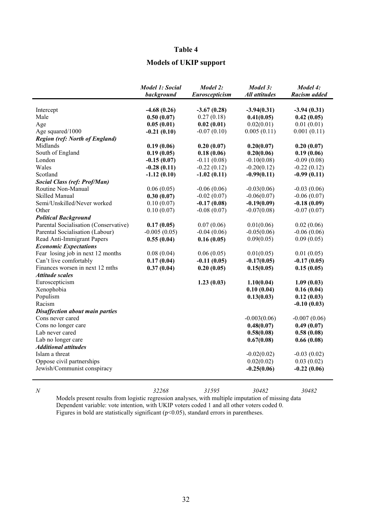# **Models of UKIP support**

|                                        | <b>Model 1: Social</b><br>background | Model 2:<br>Euroscepticism  | Model 3:<br><b>All attitudes</b> | Model 4:<br>Racism added    |
|----------------------------------------|--------------------------------------|-----------------------------|----------------------------------|-----------------------------|
|                                        |                                      |                             |                                  |                             |
| Intercept<br>Male                      | $-4.68(0.26)$<br>0.50(0.07)          | $-3.67(0.28)$<br>0.27(0.18) | $-3.94(0.31)$<br>0.41(0.05)      | $-3.94(0.31)$<br>0.42(0.05) |
| Age                                    | 0.05(0.01)                           | 0.02(0.01)                  | 0.02(0.01)                       | 0.01(0.01)                  |
| Age squared/1000                       | $-0.21(0.10)$                        | $-0.07(0.10)$               | 0.005(0.11)                      | 0.001(0.11)                 |
| <b>Region (ref: North of England)</b>  |                                      |                             |                                  |                             |
| Midlands                               | 0.19(0.06)                           | 0.20(0.07)                  | 0.20(0.07)                       | 0.20(0.07)                  |
| South of England                       | 0.19(0.05)                           | 0.18(0.06)                  | 0.20(0.06)                       | 0.19(0.06)                  |
| London                                 | $-0.15(0.07)$                        | $-0.11(0.08)$               | $-0.10(0.08)$                    | $-0.09(0.08)$               |
| Wales                                  | $-0.28(0.11)$                        | $-0.22(0.12)$               | $-0.20(0.12)$                    | $-0.22(0.12)$               |
| Scotland                               | $-1.12(0.10)$                        | $-1.02(0.11)$               | $-0.99(0.11)$                    | $-0.99(0.11)$               |
| <b>Social Class (ref: Prof/Man)</b>    |                                      |                             |                                  |                             |
| Routine Non-Manual                     | 0.06(0.05)                           | $-0.06(0.06)$               | $-0.03(0.06)$                    | $-0.03(0.06)$               |
| Skilled Manual                         | 0.30(0.07)                           | $-0.02(0.07)$               | $-0.06(0.07)$                    | $-0.06(0.07)$               |
| Semi/Unskilled/Never worked            | 0.10(0.07)                           | $-0.17(0.08)$               | $-0.19(0.09)$                    | $-0.18(0.09)$               |
| Other                                  | 0.10(0.07)                           | $-0.08(0.07)$               | $-0.07(0.08)$                    | $-0.07(0.07)$               |
| <b>Political Background</b>            |                                      |                             |                                  |                             |
| Parental Socialisation (Conservative)  | 0.17(0.05)                           | 0.07(0.06)                  | 0.01(0.06)                       | 0.02(0.06)                  |
| Parental Socialisation (Labour)        | $-0.005(0.05)$                       | $-0.04(0.06)$               | $-0.05(0.06)$                    | $-0.06(0.06)$               |
| Read Anti-Immigrant Papers             | 0.55(0.04)                           | 0.16(0.05)                  | 0.09(0.05)                       | 0.09(0.05)                  |
| <b>Economic Expectations</b>           |                                      |                             |                                  |                             |
| Fear losing job in next 12 months      | 0.08(0.04)                           | 0.06(0.05)                  | 0.01(0.05)                       | 0.01(0.05)                  |
| Can't live comfortably                 | 0.17(0.04)                           | $-0.11(0.05)$               | $-0.17(0.05)$                    | $-0.17(0.05)$               |
| Finances worsen in next 12 mths        | 0.37(0.04)                           | 0.20(0.05)                  | 0.15(0.05)                       | 0.15(0.05)                  |
| <b>Attitude scales</b>                 |                                      |                             |                                  |                             |
| Euroscepticism                         |                                      | 1.23(0.03)                  | 1.10(0.04)                       | 1.09(0.03)                  |
| Xenophobia                             |                                      |                             | 0.10(0.04)                       | 0.16(0.04)                  |
| Populism                               |                                      |                             | 0.13(0.03)                       | 0.12(0.03)                  |
| Racism                                 |                                      |                             |                                  | $-0.10(0.03)$               |
| <b>Disaffection about main parties</b> |                                      |                             |                                  |                             |
| Cons never cared                       |                                      |                             | $-0.003(0.06)$                   | $-0.007(0.06)$              |
| Cons no longer care                    |                                      |                             | 0.48(0.07)                       | 0.49(0.07)                  |
| Lab never cared                        |                                      |                             | 0.58(0.08)                       | 0.58(0.08)                  |
| Lab no longer care                     |                                      |                             | 0.67(0.08)                       | 0.66(0.08)                  |
| <b>Additional attitudes</b>            |                                      |                             |                                  |                             |
| Islam a threat                         |                                      |                             | $-0.02(0.02)$                    | $-0.03(0.02)$               |
| Oppose civil partnerships              |                                      |                             | 0.02(0.02)                       | 0.03(0.02)                  |
| Jewish/Communist conspiracy            |                                      |                             | $-0.25(0.06)$                    | $-0.22(0.06)$               |
|                                        |                                      |                             |                                  |                             |

 *32268 31595 30482 30482*  Models present results from logistic regression analyses, with multiple imputation of missing data Dependent variable: vote intention, with UKIP voters coded 1 and all other voters coded 0.

Figures in bold are statistically significant (p<0.05), standard errors in parentheses.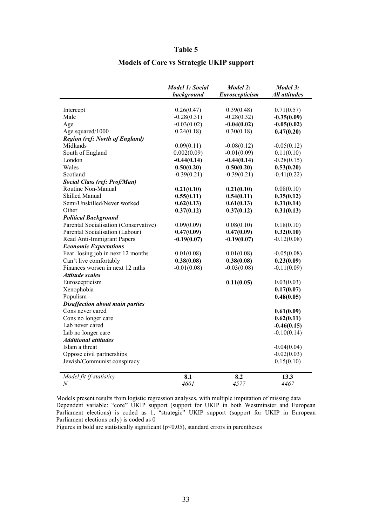# **Models of Core vs Strategic UKIP support**

|                                        | <b>Model 1: Social</b> | Model 2:       | Model 3:             |
|----------------------------------------|------------------------|----------------|----------------------|
|                                        | background             | Euroscepticism | <b>All attitudes</b> |
| Intercept                              | 0.26(0.47)             | 0.39(0.48)     | 0.71(0.57)           |
| Male                                   | $-0.28(0.31)$          | $-0.28(0.32)$  | $-0.35(0.09)$        |
| Age                                    | $-0.03(0.02)$          | $-0.04(0.02)$  | $-0.05(0.02)$        |
| Age squared/1000                       | 0.24(0.18)             | 0.30(0.18)     | 0.47(0.20)           |
| <b>Region (ref: North of England)</b>  |                        |                |                      |
| Midlands                               | 0.09(0.11)             | $-0.08(0.12)$  | $-0.05(0.12)$        |
| South of England                       | 0.002(0.09)            | $-0.01(0.09)$  | 0.11(0.10)           |
| London                                 | $-0.44(0.14)$          | $-0.44(0.14)$  | $-0.28(0.15)$        |
| Wales                                  | 0.50(0.20)             | 0.50(0.20)     | 0.53(0.20)           |
| Scotland                               | $-0.39(0.21)$          | $-0.39(0.21)$  | $-0.41(0.22)$        |
| <b>Social Class (ref: Prof/Man)</b>    |                        |                |                      |
| Routine Non-Manual                     | 0.21(0.10)             | 0.21(0.10)     | 0.08(0.10)           |
| <b>Skilled Manual</b>                  | 0.55(0.11)             | 0.54(0.11)     | 0.35(0.12)           |
| Semi/Unskilled/Never worked            | 0.62(0.13)             | 0.61(0.13)     | 0.31(0.14)           |
| Other                                  | 0.37(0.12)             | 0.37(0.12)     | 0.31(0.13)           |
| <b>Political Background</b>            |                        |                |                      |
| Parental Socialisation (Conservative)  | 0.09(0.09)             | 0.08(0.10)     | 0.18(0.10)           |
| Parental Socialisation (Labour)        | 0.47(0.09)             | 0.47(0.09)     | 0.32(0.10)           |
| Read Anti-Immigrant Papers             | $-0.19(0.07)$          | $-0.19(0.07)$  | $-0.12(0.08)$        |
| <b>Economic Expectations</b>           |                        |                |                      |
| Fear losing job in next 12 months      | 0.01(0.08)             | 0.01(0.08)     | $-0.05(0.08)$        |
| Can't live comfortably                 | 0.38(0.08)             | 0.38(0.08)     | 0.23(0.09)           |
| Finances worsen in next 12 mths        | $-0.01(0.08)$          | $-0.03(0.08)$  | $-0.11(0.09)$        |
| <b>Attitude scales</b>                 |                        |                |                      |
| Euroscepticism                         |                        | 0.11(0.05)     | 0.03(0.03)           |
| Xenophobia                             |                        |                | 0.17(0.07)           |
| Populism                               |                        |                | 0.48(0.05)           |
| <b>Disaffection about main parties</b> |                        |                |                      |
| Cons never cared                       |                        |                | 0.61(0.09)           |
| Cons no longer care                    |                        |                | 0.62(0.11)           |
| Lab never cared                        |                        |                | $-0.46(0.15)$        |
| Lab no longer care                     |                        |                | $-0.10(0.14)$        |
| <b>Additional attitudes</b>            |                        |                |                      |
| Islam a threat                         |                        |                | $-0.04(0.04)$        |
| Oppose civil partnerships              |                        |                | $-0.02(0.03)$        |
| Jewish/Communist conspiracy            |                        |                | 0.15(0.10)           |
| Model fit (f-statistic)                | 8.1                    | 8.2            | 13.3                 |
| $\boldsymbol{N}$                       | 4601                   | 4577           | 4467                 |

Models present results from logistic regression analyses, with multiple imputation of missing data Dependent variable: "core" UKIP support (support for UKIP in both Westminster and European Parliament elections) is coded as 1, "strategic" UKIP support (support for UKIP in European Parliament elections only) is coded as 0

Figures in bold are statistically significant  $(p<0.05)$ , standard errors in parentheses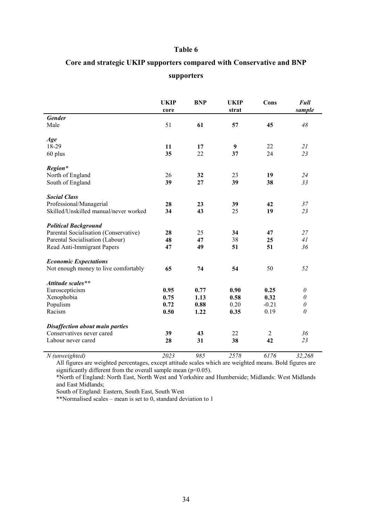# Core and strategic UKIP supporters compared with Conservative and BNP **supporters**

|                                                                      | <b>UKIP</b><br>core | <b>BNP</b>   | <b>UKIP</b><br>strat | Cons           | <b>Full</b><br>sample |
|----------------------------------------------------------------------|---------------------|--------------|----------------------|----------------|-----------------------|
| <b>Gender</b>                                                        |                     |              |                      |                |                       |
| Male                                                                 | 51                  | 61           | 57                   | 45             | 48                    |
| Age                                                                  |                     |              |                      |                |                       |
| 18-29                                                                | 11                  | 17           | 9                    | 22             | 21                    |
| 60 plus                                                              | 35                  | 22           | 37                   | 24             | 23                    |
| Region*                                                              |                     |              |                      |                |                       |
| North of England                                                     | 26                  | 32           | 23                   | 19             | 24                    |
| South of England                                                     | 39                  | 27           | 39                   | 38             | 33                    |
|                                                                      |                     |              |                      |                |                       |
| <b>Social Class</b>                                                  |                     |              |                      |                |                       |
| Professional/Managerial                                              | 28                  | 23           | 39                   | 42             | 37                    |
| Skilled/Unskilled manual/never worked                                | 34                  | 43           | 25                   | 19             | 23                    |
|                                                                      |                     |              |                      |                |                       |
| <b>Political Background</b><br>Parental Socialisation (Conservative) | 28                  | 25           | 34                   | 47             | 27                    |
| Parental Socialisation (Labour)                                      | 48                  | 47           | 38                   | 25             | 41                    |
| Read Anti-Immigrant Papers                                           | 47                  | 49           | 51                   | 51             | 36                    |
|                                                                      |                     |              |                      |                |                       |
| <b>Economic Expectations</b>                                         |                     |              |                      |                |                       |
| Not enough money to live comfortably                                 | 65                  | 74           | 54                   | 50             | 52                    |
|                                                                      |                     |              |                      |                |                       |
| Attitude scales**                                                    |                     |              |                      |                |                       |
| Euroscepticism                                                       | 0.95                | 0.77         | 0.90                 | 0.25           | $\theta$              |
| Xenophobia                                                           | 0.75                | 1.13         | 0.58                 | 0.32           | $\theta$              |
| Populism<br>Racism                                                   | 0.72                | 0.88<br>1.22 | 0.20                 | $-0.21$        | $\theta$<br>$\theta$  |
|                                                                      | 0.50                |              | 0.35                 | 0.19           |                       |
| <b>Disaffection about main parties</b>                               |                     |              |                      |                |                       |
| Conservatives never cared                                            | 39                  | 43           | 22                   | $\overline{2}$ | 36                    |
| Labour never cared                                                   | 28                  | 31           | 38                   | 42             | 23                    |
|                                                                      |                     |              |                      |                |                       |

 *(unweighted) 2023 985 2578 6176 32,268*  All figures are weighted percentages, except attitude scales which are weighted means. Bold figures are significantly different from the overall sample mean (p<0.05).

\*North of England: North East, North West and Yorkshire and Humberside; Midlands: West Midlands and East Midlands;

South of England: Eastern, South East, South West

\*\*Normalised scales – mean is set to 0, standard deviation to 1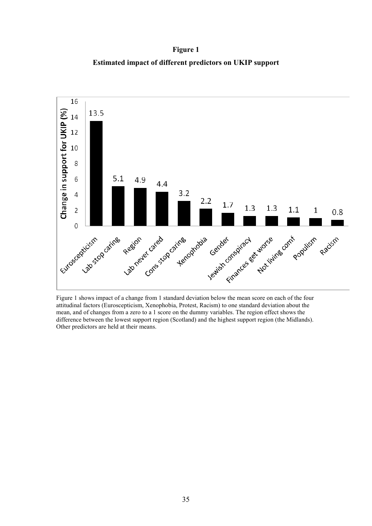**Figure 1 Estimated impact of different predictors on UKIP support** 



Figure 1 shows impact of a change from 1 standard deviation below the mean score on each of the four attitudinal factors (Euroscepticism, Xenophobia, Protest, Racism) to one standard deviation about the mean, and of changes from a zero to a 1 score on the dummy variables. The region effect shows the difference between the lowest support region (Scotland) and the highest support region (the Midlands). Other predictors are held at their means.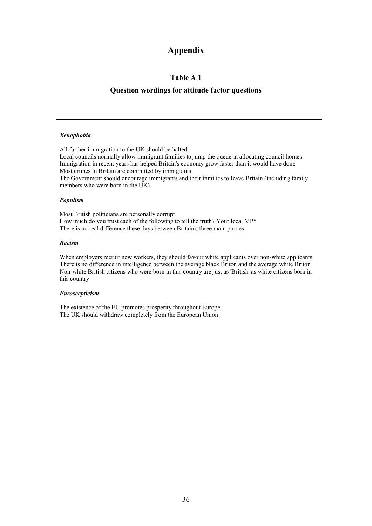# **Appendix**

#### **Table A 1**

#### **Question wordings for attitude factor questions**

#### *Xenophobia*

All further immigration to the UK should be halted Local councils normally allow immigrant families to jump the queue in allocating council homes Immigration in recent years has helped Britain's economy grow faster than it would have done Most crimes in Britain are committed by immigrants The Government should encourage immigrants and their families to leave Britain (including family members who were born in the UK)

#### *Populism*

Most British politicians are personally corrupt How much do you trust each of the following to tell the truth? Your local MP\* There is no real difference these days between Britain's three main parties

#### *Racism*

When employers recruit new workers, they should favour white applicants over non-white applicants There is no difference in intelligence between the average black Briton and the average white Briton Non-white British citizens who were born in this country are just as 'British' as white citizens born in this country

#### *Euroscepticism*

The existence of the EU promotes prosperity throughout Europe The UK should withdraw completely from the European Union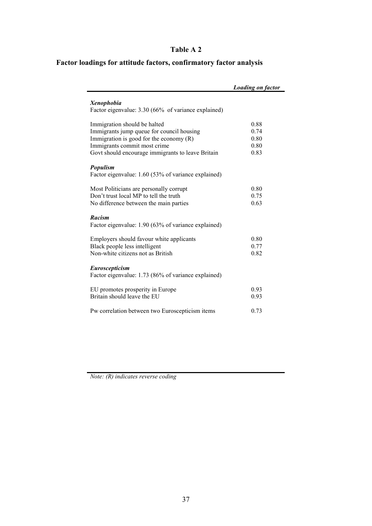# **Table A 2**

# **Factor loadings for attitude factors, confirmatory factor analysis**

|                                                     | <b>Loading on factor</b> |
|-----------------------------------------------------|--------------------------|
| <b>Xenophobia</b>                                   |                          |
| Factor eigenvalue: 3.30 (66% of variance explained) |                          |
| Immigration should be halted                        | 0.88                     |
| Immigrants jump queue for council housing           | 0.74                     |
| Immigration is good for the economy $(R)$           | 0.80                     |
| Immigrants commit most crime                        | 0.80                     |
| Govt should encourage immigrants to leave Britain   | 0.83                     |
| Populism                                            |                          |
| Factor eigenvalue: 1.60 (53% of variance explained) |                          |
| Most Politicians are personally corrupt             | 0.80                     |
| Don't trust local MP to tell the truth              | 0.75                     |
| No difference between the main parties              | 0.63                     |
| <b>Racism</b>                                       |                          |
| Factor eigenvalue: 1.90 (63% of variance explained) |                          |
| Employers should favour white applicants            | 0.80                     |
| Black people less intelligent                       | 0.77                     |
| Non-white citizens not as British                   | 0.82                     |
| Euroscepticism                                      |                          |
| Factor eigenvalue: 1.73 (86% of variance explained) |                          |
| EU promotes prosperity in Europe                    | 0.93                     |
| Britain should leave the EU                         | 0.93                     |
| Pw correlation between two Euroscepticism items     | 0.73                     |

*Note: (R) indicates reverse coding*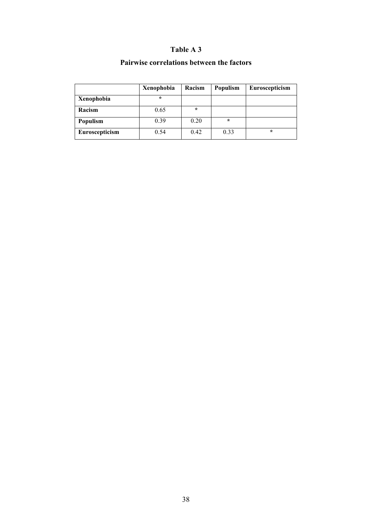# **Table A 3**

## **Pairwise correlations between the factors**

|                | Xenophobia | Racism  | Populism | Euroscepticism |
|----------------|------------|---------|----------|----------------|
| Xenophobia     | $\star$    |         |          |                |
| Racism         | 0.65       | $\star$ |          |                |
| Populism       | 0.39       | 0.20    | $\star$  |                |
| Euroscepticism | 0.54       | 0.42    | 0.33     | $\star$        |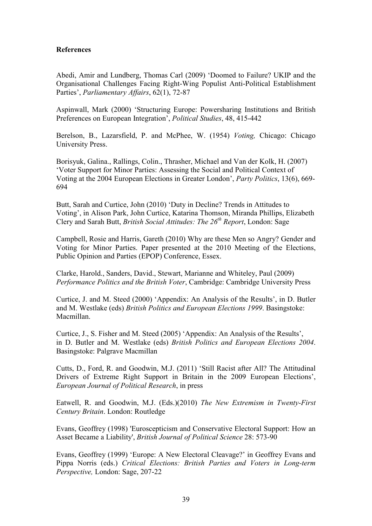### **References**

Abedi, Amir and Lundberg, Thomas Carl (2009) 'Doomed to Failure? UKIP and the Organisational Challenges Facing Right-Wing Populist Anti-Political Establishment Parties', *Parliamentary Affairs*, 62(1), 72-87

Aspinwall, Mark (2000) 'Structuring Europe: Powersharing Institutions and British Preferences on European Integration', *Political Studies*, 48, 415-442

Berelson, B., Lazarsfield, P. and McPhee, W. (1954) *Voting,* Chicago: Chicago University Press.

Borisyuk, Galina., Rallings, Colin., Thrasher, Michael and Van der Kolk, H. (2007) 'Voter Support for Minor Parties: Assessing the Social and Political Context of Voting at the 2004 European Elections in Greater London', *Party Politics*, 13(6), 669- 694

Butt, Sarah and Curtice, John (2010) 'Duty in Decline? Trends in Attitudes to Voting', in Alison Park, John Curtice, Katarina Thomson, Miranda Phillips, Elizabeth Clery and Sarah Butt, *British Social Attitudes: The 26th Report*, London: Sage

Campbell, Rosie and Harris, Gareth (2010) Why are these Men so Angry? Gender and Voting for Minor Parties. Paper presented at the 2010 Meeting of the Elections, Public Opinion and Parties (EPOP) Conference, Essex.

Clarke, Harold., Sanders, David., Stewart, Marianne and Whiteley, Paul (2009) *Performance Politics and the British Voter*, Cambridge: Cambridge University Press

Curtice, J. and M. Steed (2000) 'Appendix: An Analysis of the Results', in D. Butler and M. Westlake (eds) *British Politics and European Elections 1999*. Basingstoke: Macmillan.

Curtice, J., S. Fisher and M. Steed (2005) 'Appendix: An Analysis of the Results', in D. Butler and M. Westlake (eds) *British Politics and European Elections 2004*. Basingstoke: Palgrave Macmillan

Cutts, D., Ford, R. and Goodwin, M.J. (2011) 'Still Racist after All? The Attitudinal Drivers of Extreme Right Support in Britain in the 2009 European Elections', *European Journal of Political Research*, in press

Eatwell, R. and Goodwin, M.J. (Eds.)(2010) *The New Extremism in Twenty-First Century Britain*. London: Routledge

Evans, Geoffrey (1998) 'Euroscepticism and Conservative Electoral Support: How an Asset Became a Liability', *British Journal of Political Science* 28: 573-90

Evans, Geoffrey (1999) 'Europe: A New Electoral Cleavage?' in Geoffrey Evans and Pippa Norris (eds.) *Critical Elections: British Parties and Voters in Long-term Perspective,* London: Sage, 207-22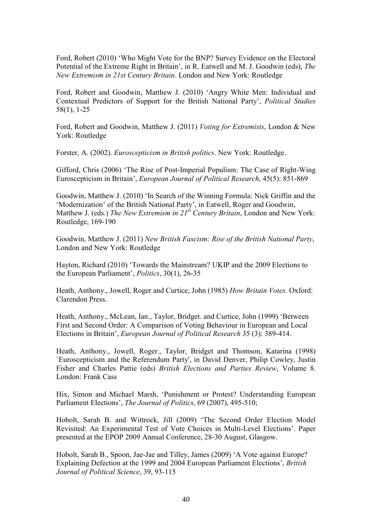Ford, Robert (2010) 'Who Might Vote for the BNP? Survey Evidence on the Electoral Potential of the Extreme Right in Britain', in R. Eatwell and M. J. Goodwin (eds), *The ew Extremism in 21st Century Britain*. London and New York: Routledge

Ford, Robert and Goodwin, Matthew J. (2010) 'Angry White Men: Individual and Contextual Predictors of Support for the British National Party', *Political Studies* 58(1), 1-25

Ford, Robert and Goodwin, Matthew J. (2011) *Voting for Extremists*, London & New York: Routledge

Forster, A. (2002). *Euroscepticism in British politics*. New York: Routledge.

Gifford, Chris (2006) 'The Rise of Post-Imperial Populism: The Case of Right-Wing Euroscepticism in Britain', *European Journal of Political Research*, 45(5): 851-869

Goodwin, Matthew J. (2010) 'In Search of the Winning Formula: Nick Griffin and the 'Modernization' of the British National Party', in Eatwell, Roger and Goodwin, Matthew J. (eds.) *The New Extremism in 21<sup>st</sup> Century Britain*, London and New York: Routledge, 169-190

Goodwin, Matthew J. (2011) *New British Fascism: Rise of the British National Party*, London and New York: Routledge

Hayton, Richard (2010) 'Towards the Mainstream? UKIP and the 2009 Elections to the European Parliament', *Politics*, 30(1), 26-35

Heath, Anthony., Jowell, Roger and Curtice, John (1985) *How Britain Votes*. Oxford: Clarendon Press.

Heath, Anthony., McLean, Ian., Taylor, Bridget. and Curtice, John (1999) 'Between First and Second Order: A Comparison of Voting Behaviour in European and Local Elections in Britain', *European Journal of Political Research* 35 (3): 389-414.

Heath, Anthony., Jowell, Roger., Taylor, Bridget and Thomson, Katarina (1998) `Euroscepticism and the Referendum Party', in David Denver, Philip Cowley, Justin Fisher and Charles Pattie (eds) *British Elections and Parties Review*, Volume 8. London: Frank Cass

Hix, Simon and Michael Marsh, 'Punishment or Protest? Understanding European Parliament Elections', *The Journal of Politics,* 69 (2007), 495-510;

Hobolt, Sarah B. and Wittrock, Jill (2009) 'The Second Order Election Model Revisited: An Experimental Test of Vote Choices in Multi-Level Elections'. Paper presented at the EPOP 2009 Annual Conference, 28-30 August, Glasgow.

Hobolt, Sarah B., Spoon, Jae-Jae and Tilley, James (2009) 'A Vote against Europe? Explaining Defection at the 1999 and 2004 European Parliament Elections', *British Journal of Political Science*, 39, 93-115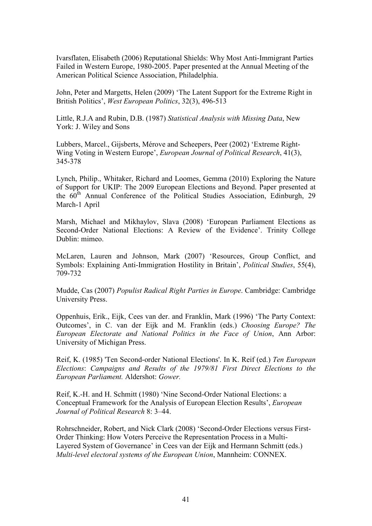Ivarsflaten, Elisabeth (2006) Reputational Shields: Why Most Anti-Immigrant Parties Failed in Western Europe, 1980-2005. Paper presented at the Annual Meeting of the American Political Science Association, Philadelphia.

John, Peter and Margetts, Helen (2009) 'The Latent Support for the Extreme Right in British Politics', *West European Politics*, 32(3), 496-513

Little, R.J.A and Rubin, D.B. (1987) *Statistical Analysis with Missing Data*, New York: J. Wiley and Sons

Lubbers, Marcel., Gijsberts, Mérove and Scheepers, Peer (2002) 'Extreme Right-Wing Voting in Western Europe', *European Journal of Political Research*, 41(3), 345-378

Lynch, Philip., Whitaker, Richard and Loomes, Gemma (2010) Exploring the Nature of Support for UKIP: The 2009 European Elections and Beyond. Paper presented at the  $60<sup>th</sup>$  Annual Conference of the Political Studies Association, Edinburgh, 29 March-1 April

Marsh, Michael and Mikhaylov, Slava (2008) 'European Parliament Elections as Second-Order National Elections: A Review of the Evidence'. Trinity College Dublin: mimeo

McLaren, Lauren and Johnson, Mark (2007) 'Resources, Group Conflict, and Symbols: Explaining Anti-Immigration Hostility in Britain', *Political Studies*, 55(4), 709-732

Mudde, Cas (2007) *Populist Radical Right Parties in Europe*. Cambridge: Cambridge University Press.

Oppenhuis, Erik., Eijk, Cees van der. and Franklin, Mark (1996) 'The Party Context: Outcomes', in C. van der Eijk and M. Franklin (eds.) *Choosing Europe? The European Electorate and National Politics in the Face of Union*, Ann Arbor: University of Michigan Press.

Reif, K. (1985) 'Ten Second-order National Elections'. In K. Reif (ed.) *Ten European Elections*: *Campaigns and Results of the 1979/81 First Direct Elections to the European Parliament.* Aldershot: *Gower.*

Reif, K.-H. and H. Schmitt (1980) 'Nine Second-Order National Elections: a Conceptual Framework for the Analysis of European Election Results', *European Journal of Political Research* 8: 3–44.

Rohrschneider, Robert, and Nick Clark (2008) 'Second-Order Elections versus First-Order Thinking: How Voters Perceive the Representation Process in a Multi-Layered System of Governance' in Cees van der Eijk and Hermann Schmitt (eds.) *Multi-level electoral systems of the European Union*, Mannheim: CONNEX.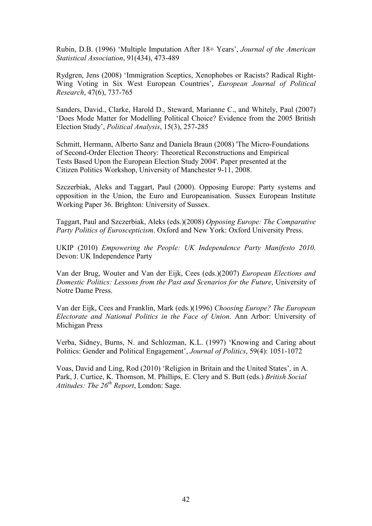Rubin, D.B. (1996) 'Multiple Imputation After 18+ Years', *Journal of the American Statistical Association*, 91(434), 473-489

Rydgren, Jens (2008) 'Immigration Sceptics, Xenophobes or Racists? Radical Right-Wing Voting in Six West European Countries', *European Journal of Political Research*, 47(6), 737-765

Sanders, David., Clarke, Harold D., Steward, Marianne C., and Whitely, Paul (2007) 'Does Mode Matter for Modelling Political Choice? Evidence from the 2005 British Election Study', *Political Analysis*, 15(3), 257-285

Schmitt, Hermann, Alberto Sanz and Daniela Braun (2008) 'The Micro-Foundations of Second-Order Election Theory: Theoretical Reconstructions and Empirical Tests Based Upon the European Election Study 2004'. Paper presented at the Citizen Politics Workshop, University of Manchester 9-11, 2008.

Szczerbiak, Aleks and Taggart, Paul (2000). Opposing Europe: Party systems and opposition in the Union, the Euro and Europeanisation. Sussex European Institute Working Paper 36. Brighton: University of Sussex.

Taggart, Paul and Szczerbiak, Aleks (eds.)(2008) *Opposing Europe: The Comparative Party Politics of Euroscepticism*. Oxford and New York: Oxford University Press.

UKIP (2010) *Empowering the People: UK Independence Party Manifesto 2010*. Devon: UK Independence Party

Van der Brug, Wouter and Van der Eijk, Cees (eds.)(2007) *European Elections and Domestic Politics: Lessons from the Past and Scenarios for the Future*, University of Notre Dame Press.

Van der Eijk, Cees and Franklin, Mark (eds.)(1996) *Choosing Europe? The European Electorate and National Politics in the Face of Union. Ann Arbor: University of* Michigan Press

Verba, Sidney, Burns, N. and Schlozman, K.L. (1997) 'Knowing and Caring about Politics: Gender and Political Engagement', *Journal of Politics*, 59(4): 1051-1072

Voas, David and Ling, Rod (2010) 'Religion in Britain and the United States', in A. Park, J. Curtice, K. Thomson, M. Phillips, E. Clery and S. Butt (eds.) *British Social Attitudes: The 26th Report*, London: Sage.